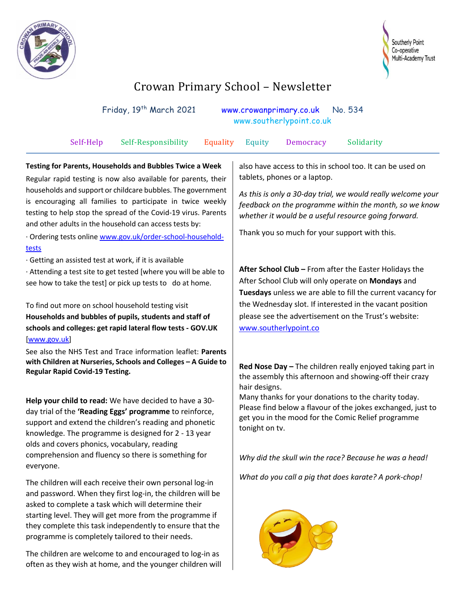



## Crowan Primary School – Newsletter

| Friday, 19th March 2021<br>No. 534<br>www.crowanprimary.co.uk<br>www.southerlypoint.co.uk                                                                                                                                                                                                                                                                                                                                                                       |                                                                                                                                                                                                                                                                                                                              |
|-----------------------------------------------------------------------------------------------------------------------------------------------------------------------------------------------------------------------------------------------------------------------------------------------------------------------------------------------------------------------------------------------------------------------------------------------------------------|------------------------------------------------------------------------------------------------------------------------------------------------------------------------------------------------------------------------------------------------------------------------------------------------------------------------------|
| Self-Help<br>Self-Responsibility<br>Equality                                                                                                                                                                                                                                                                                                                                                                                                                    | Equity<br>Democracy<br>Solidarity                                                                                                                                                                                                                                                                                            |
| Testing for Parents, Households and Bubbles Twice a Week<br>Regular rapid testing is now also available for parents, their<br>households and support or childcare bubbles. The government<br>is encouraging all families to participate in twice weekly<br>testing to help stop the spread of the Covid-19 virus. Parents<br>and other adults in the household can access tests by:<br>Ordering tests online www.gov.uk/order-school-household-<br><u>tests</u> | also have access to this in school too. It can be used on<br>tablets, phones or a laptop.<br>As this is only a 30-day trial, we would really welcome your<br>feedback on the programme within the month, so we know<br>whether it would be a useful resource going forward.<br>Thank you so much for your support with this. |
| Getting an assisted test at work, if it is available<br>· Attending a test site to get tested [where you will be able to<br>see how to take the test] or pick up tests to do at home.<br>To find out more on school household testing visit<br>Households and bubbles of pupils, students and staff of<br>schools and colleges: get rapid lateral flow tests - GOV.UK<br>www.gov.uk                                                                             | After School Club - From after the Easter Holidays the<br>After School Club will only operate on Mondays and<br>Tuesdays unless we are able to fill the current vacancy for<br>the Wednesday slot. If interested in the vacant position<br>please see the advertisement on the Trust's website:<br>www.southerlypoint.co     |
| See also the NHS Test and Trace information leaflet: Parents<br>with Children at Nurseries, Schools and Colleges - A Guide to<br><b>Regular Rapid Covid-19 Testing.</b>                                                                                                                                                                                                                                                                                         | Red Nose Day - The children really enjoyed taking part in<br>the assembly this afternoon and showing-off their crazy<br>hair designs.<br>Many thanks for your donations to the charity today.                                                                                                                                |
| Help your child to read: We have decided to have a 30-<br>day trial of the 'Reading Eggs' programme to reinforce,<br>support and extend the children's reading and phonetic<br>knowledge. The programme is designed for 2 - 13 year<br>olds and covers phonics, vocabulary, reading<br>comprehension and fluency so there is something for<br>everyone.                                                                                                         | Please find below a flavour of the jokes exchanged, just to<br>get you in the mood for the Comic Relief programme<br>tonight on tv.<br>Why did the skull win the race? Because he was a head!                                                                                                                                |
| The children will each receive their own personal log-in<br>and password. When they first log-in, the children will be<br>asked to complete a task which will determine their<br>starting level. They will get more from the programme if<br>they complete this task independently to ensure that the<br>programme is completely tailored to their needs.                                                                                                       | What do you call a pig that does karate? A pork-chop!                                                                                                                                                                                                                                                                        |

The children are welcome to and encouraged to log-in as often as they wish at home, and the younger children will